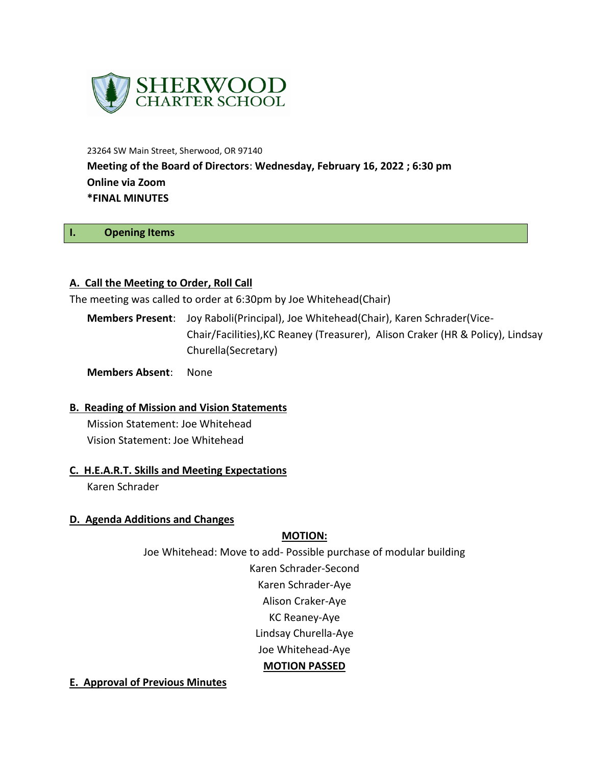

23264 SW Main Street, Sherwood, OR 97140 **Meeting of the Board of Directors**: **Wednesday, February 16, 2022 ; 6:30 pm Online via Zoom \*FINAL MINUTES**

#### **I. Opening Items**

#### **A. Call the Meeting to Order, Roll Call**

The meeting was called to order at 6:30pm by Joe Whitehead(Chair)

**Members Present**: Joy Raboli(Principal), Joe Whitehead(Chair), Karen Schrader(Vice-Chair/Facilities),KC Reaney (Treasurer), Alison Craker (HR & Policy), Lindsay Churella(Secretary)

**Members Absent**: None

#### **B. Reading of Mission and Vision Statements**

Mission Statement: Joe Whitehead Vision Statement: Joe Whitehead

#### **C. H.E.A.R.T. Skills and Meeting Expectations**

Karen Schrader

#### **D. Agenda Additions and Changes**

#### **MOTION:**

Joe Whitehead: Move to add- Possible purchase of modular building Karen Schrader-Second Karen Schrader-Aye Alison Craker-Aye

KC Reaney-Aye

Lindsay Churella-Aye

Joe Whitehead-Aye

#### **MOTION PASSED**

**E. Approval of Previous Minutes**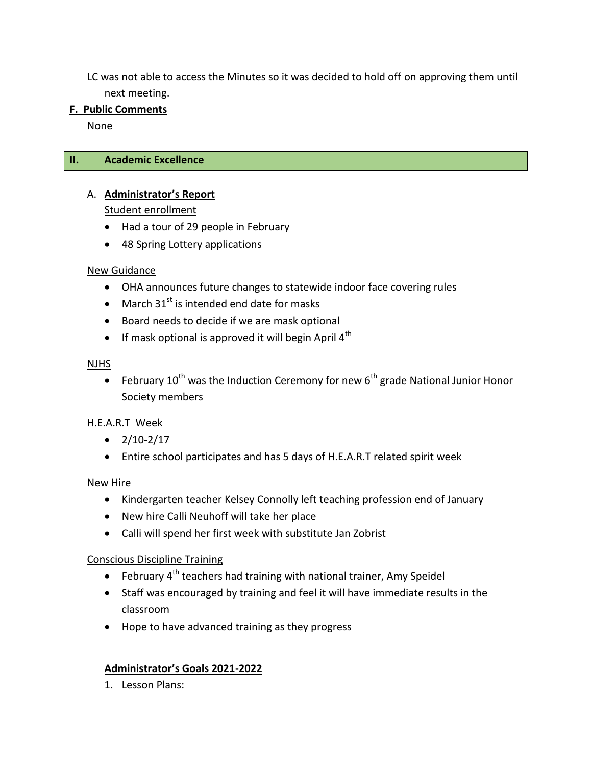LC was not able to access the Minutes so it was decided to hold off on approving them until next meeting.

### **F. Public Comments**

None

### **II. Academic Excellence**

# A. **Administrator's Report**

Student enrollment

- Had a tour of 29 people in February
- 48 Spring Lottery applications

### New Guidance

- OHA announces future changes to statewide indoor face covering rules
- March  $31^{st}$  is intended end date for masks
- Board needs to decide if we are mask optional
- If mask optional is approved it will begin April  $4<sup>th</sup>$

### NJHS

February  $10^{th}$  was the Induction Ceremony for new  $6^{th}$  grade National Junior Honor Society members

# H.E.A.R.T Week

- $\bullet$  2/10-2/17
- Entire school participates and has 5 days of H.E.A.R.T related spirit week

# New Hire

- Kindergarten teacher Kelsey Connolly left teaching profession end of January
- New hire Calli Neuhoff will take her place
- Calli will spend her first week with substitute Jan Zobrist

# Conscious Discipline Training

- February  $4<sup>th</sup>$  teachers had training with national trainer, Amy Speidel
- Staff was encouraged by training and feel it will have immediate results in the classroom
- Hope to have advanced training as they progress

# **Administrator's Goals 2021-2022**

1. Lesson Plans: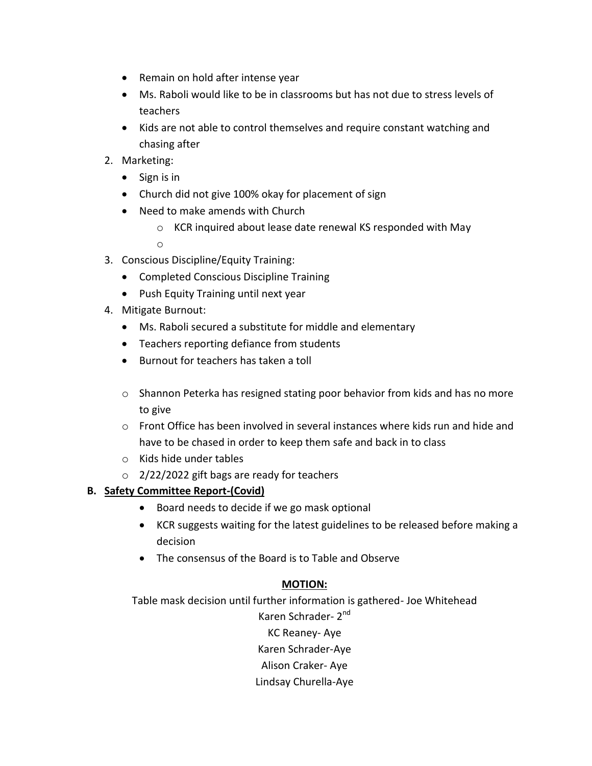- Remain on hold after intense year
- Ms. Raboli would like to be in classrooms but has not due to stress levels of teachers
- Kids are not able to control themselves and require constant watching and chasing after
- 2. Marketing:
	- $\bullet$  Sign is in
	- Church did not give 100% okay for placement of sign
	- Need to make amends with Church
		- o KCR inquired about lease date renewal KS responded with May

o

- 3. Conscious Discipline/Equity Training:
	- Completed Conscious Discipline Training
	- Push Equity Training until next year
- 4. Mitigate Burnout:
	- Ms. Raboli secured a substitute for middle and elementary
	- Teachers reporting defiance from students
	- Burnout for teachers has taken a toll
	- o Shannon Peterka has resigned stating poor behavior from kids and has no more to give
	- o Front Office has been involved in several instances where kids run and hide and have to be chased in order to keep them safe and back in to class
	- o Kids hide under tables
	- o 2/22/2022 gift bags are ready for teachers

# **B. Safety Committee Report-(Covid)**

- Board needs to decide if we go mask optional
- KCR suggests waiting for the latest guidelines to be released before making a decision
- The consensus of the Board is to Table and Observe

# **MOTION:**

Table mask decision until further information is gathered- Joe Whitehead

Karen Schrader- 2<sup>nd</sup>

KC Reaney- Aye Karen Schrader-Aye

Alison Craker- Aye

Lindsay Churella-Aye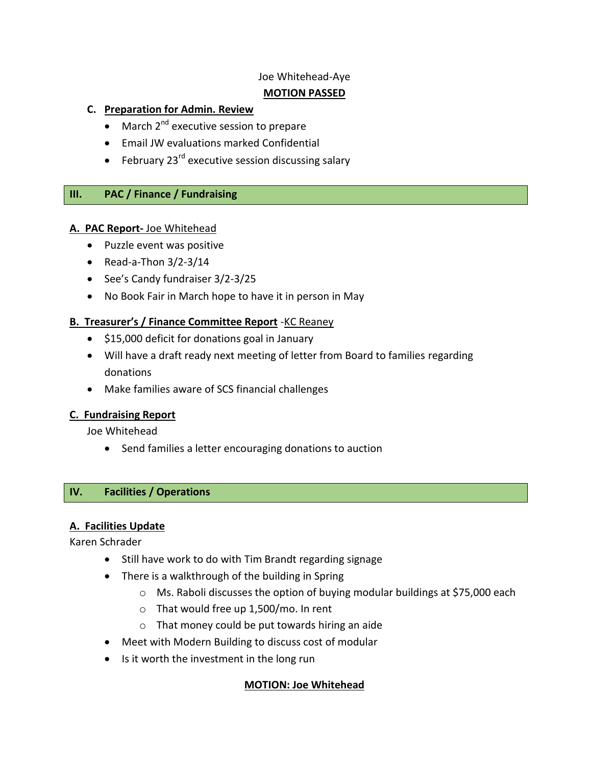### Joe Whitehead-Aye

# **MOTION PASSED**

# **C. Preparation for Admin. Review**

- $\bullet$  March 2<sup>nd</sup> executive session to prepare
- Email JW evaluations marked Confidential
- February 23 $^{rd}$  executive session discussing salary

# **III. PAC / Finance / Fundraising**

### **A. PAC Report-** Joe Whitehead

- Puzzle event was positive
- $\bullet$  Read-a-Thon 3/2-3/14
- See's Candy fundraiser 3/2-3/25
- No Book Fair in March hope to have it in person in May

# **B. Treasurer's / Finance Committee Report** -KC Reaney

- \$15,000 deficit for donations goal in January
- Will have a draft ready next meeting of letter from Board to families regarding donations
- Make families aware of SCS financial challenges

# **C. Fundraising Report**

Joe Whitehead

Send families a letter encouraging donations to auction

# **IV. Facilities / Operations**

# **A. Facilities Update**

Karen Schrader

- Still have work to do with Tim Brandt regarding signage
- There is a walkthrough of the building in Spring
	- o Ms. Raboli discusses the option of buying modular buildings at \$75,000 each
	- o That would free up 1,500/mo. In rent
	- o That money could be put towards hiring an aide
- Meet with Modern Building to discuss cost of modular
- Is it worth the investment in the long run

# **MOTION: Joe Whitehead**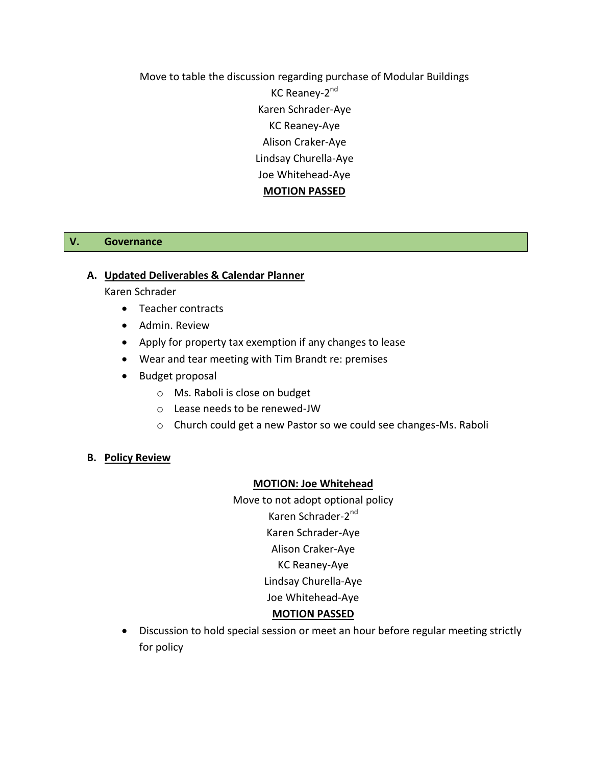Move to table the discussion regarding purchase of Modular Buildings KC Reaney-2<sup>nd</sup> Karen Schrader-Aye KC Reaney-Aye Alison Craker-Aye Lindsay Churella-Aye Joe Whitehead-Aye **MOTION PASSED**

#### **V. Governance**

#### **A. Updated Deliverables & Calendar Planner**

Karen Schrader

- Teacher contracts
- Admin. Review
- Apply for property tax exemption if any changes to lease
- Wear and tear meeting with Tim Brandt re: premises
- Budget proposal
	- o Ms. Raboli is close on budget
	- o Lease needs to be renewed-JW
	- o Church could get a new Pastor so we could see changes-Ms. Raboli

#### **B. Policy Review**

#### **MOTION: Joe Whitehead**

Move to not adopt optional policy Karen Schrader-2<sup>nd</sup> Karen Schrader-Aye Alison Craker-Aye KC Reaney-Aye Lindsay Churella-Aye Joe Whitehead-Aye

#### **MOTION PASSED**

 Discussion to hold special session or meet an hour before regular meeting strictly for policy